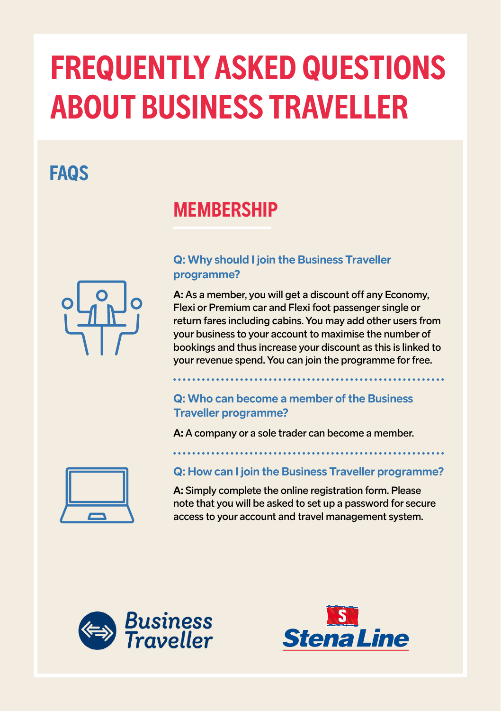# **FREQUENTLY ASKED QUESTIONS ABOUT BUSINESS TRAVELLER**

# **FAQS**

## **MEMBERSHIP**



### **Q: Why should I join the Business Traveller programme?**

**A:** As a member, you will get a discount off any Economy, Flexi or Premium car and Flexi foot passenger single or return fares including cabins. You may add other users from your business to your account to maximise the number of bookings and thus increase your discount as this is linked to your revenue spend. You can join the programme for free.

### **Q: Who can become a member of the Business Traveller programme?**

**A:** A company or a sole trader can become a member.



#### **Q: How can I join the Business Traveller programme?**

**A:** Simply complete the online registration form. Please note that you will be asked to set up a password for secure access to your account and travel management system.



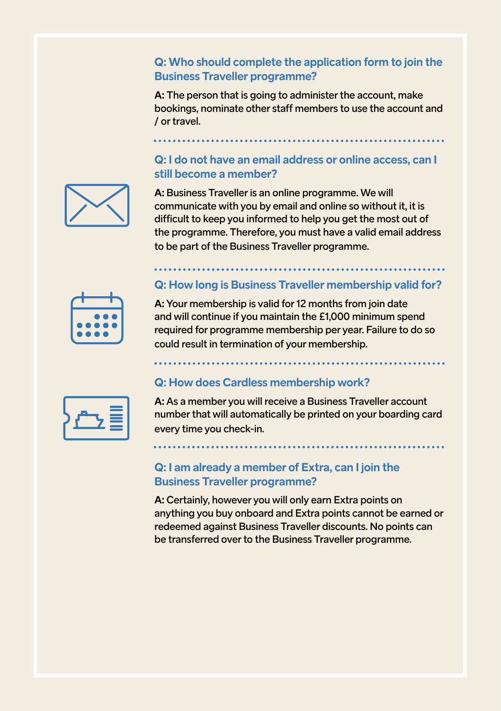#### **Q: Who should complete the application form to join the Business Traveller programme?**

**A:** The person that is going to administer the account, make bookings, nominate other staff members to use the account and / or travel.

### **Q: I do not have an email address or online access, can I still become a member?**



**A:** Business Traveller is an online programme. We will communicate with you by email and online so without it, it is difficult to keep you informed to help you get the most out of the programme. Therefore, you must have a valid email address to be part of the Business Traveller programme.



**Q: How long is Business Traveller membership valid for?**

**A:** Your membership is valid for 12 months from join date and will continue if you maintain the £1,000 minimum spend required for programme membership per year. Failure to do so could result in termination of your membership.

# **Q: How does Cardless membership work?**

**A:** As a member you will receive a Business Traveller account number that will automatically be printed on your boarding card every time you check-in.

#### **Q: I am already a member of Extra, can I join the Business Traveller programme?**

**A:** Certainly, however you will only earn Extra points on anything you buy onboard and Extra points cannot be earned or redeemed against Business Traveller discounts. No points can be transferred over to the Business Traveller programme.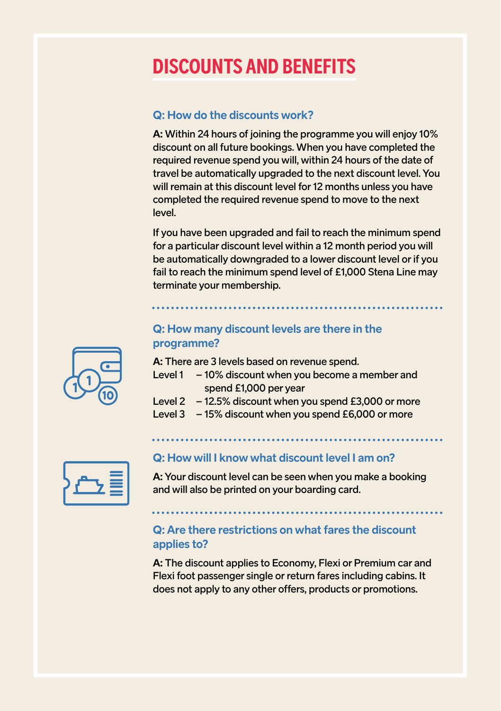# **DISCOUNTS AND BENEFITS**

#### **Q: How do the discounts work?**

**A:** Within 24 hours of joining the programme you will enjoy 10% discount on all future bookings. When you have completed the required revenue spend you will, within 24 hours of the date of travel be automatically upgraded to the next discount level. You will remain at this discount level for 12 months unless you have completed the required revenue spend to move to the next level.

If you have been upgraded and fail to reach the minimum spend for a particular discount level within a 12 month period you will be automatically downgraded to a lower discount level or if you fail to reach the minimum spend level of £1,000 Stena Line may terminate your membership.

#### **Q: How many discount levels are there in the programme?**

**A:** There are 3 levels based on revenue spend.

- Level  $1 10\%$  discount when you become a member and spend £1,000 per year
- Level  $2 12.5\%$  discount when you spend £3,000 or more
- Level 3 15% discount when you spend £6,000 or more



#### **Q: How will I know what discount level I am on?**

**A:** Your discount level can be seen when you make a booking and will also be printed on your boarding card.

#### **Q: Are there restrictions on what fares the discount applies to?**

**A:** The discount applies to Economy, Flexi or Premium car and Flexi foot passenger single or return fares including cabins. It does not apply to any other offers, products or promotions.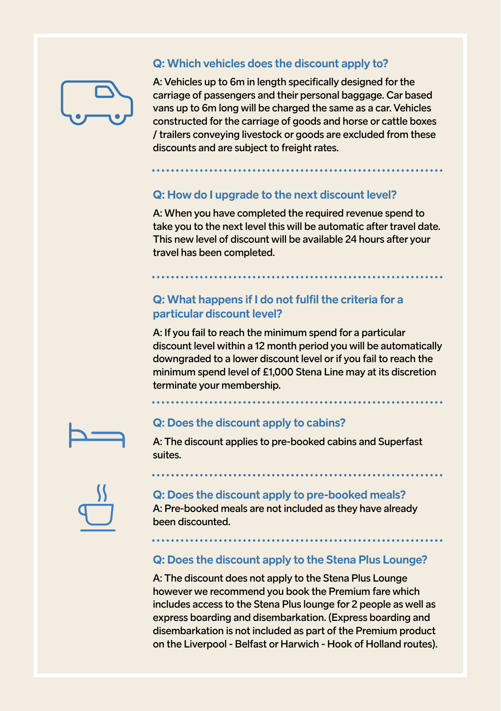

#### **Q: Which vehicles does the discount apply to?**

A: Vehicles up to 6m in length specifically designed for the carriage of passengers and their personal baggage. Car based vans up to 6m long will be charged the same as a car. Vehicles constructed for the carriage of goods and horse or cattle boxes / trailers conveying livestock or goods are excluded from these discounts and are subject to freight rates.

#### **Q: How do I upgrade to the next discount level?**

A: When you have completed the required revenue spend to take you to the next level this will be automatic after travel date. This new level of discount will be available 24 hours after your travel has been completed.

#### **Q: What happens if I do not fulfil the criteria for a particular discount level?**

A: If you fail to reach the minimum spend for a particular discount level within a 12 month period you will be automatically downgraded to a lower discount level or if you fail to reach the minimum spend level of £1,000 Stena Line may at its discretion terminate your membership.



#### **Q: Does the discount apply to cabins?**

A: The discount applies to pre-booked cabins and Superfast suites.



#### **Q: Does the discount apply to pre-booked meals?** A: Pre-booked meals are not included as they have already been discounted.

#### **Q: Does the discount apply to the Stena Plus Lounge?**

A: The discount does not apply to the Stena Plus Lounge however we recommend you book the Premium fare which includes access to the Stena Plus lounge for 2 people as well as express boarding and disembarkation. (Express boarding and disembarkation is not included as part of the Premium product on the Liverpool - Belfast or Harwich - Hook of Holland routes).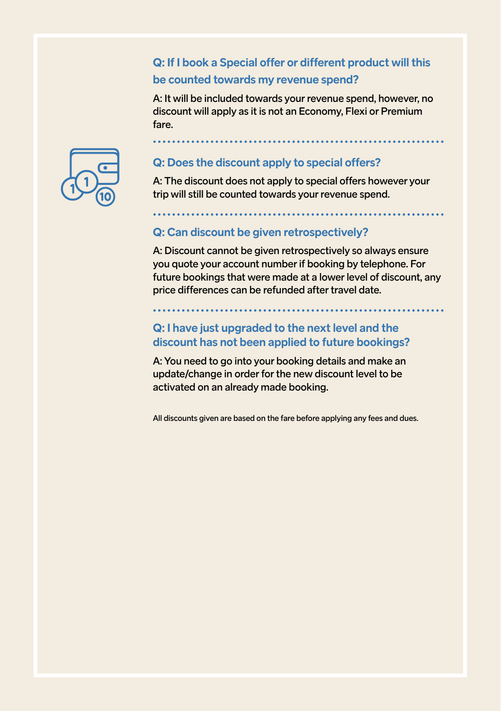#### **Q: If I book a Special offer or different product will this be counted towards my revenue spend?**

A: It will be included towards your revenue spend, however, no discount will apply as it is not an Economy, Flexi or Premium fare.



#### **Q: Does the discount apply to special offers?**

A: The discount does not apply to special offers however your trip will still be counted towards your revenue spend.

#### **Q: Can discount be given retrospectively?**

A: Discount cannot be given retrospectively so always ensure you quote your account number if booking by telephone. For future bookings that were made at a lower level of discount, any price differences can be refunded after travel date.

#### **Q: I have just upgraded to the next level and the discount has not been applied to future bookings?**

A: You need to go into your booking details and make an update/change in order for the new discount level to be activated on an already made booking.

All discounts given are based on the fare before applying any fees and dues.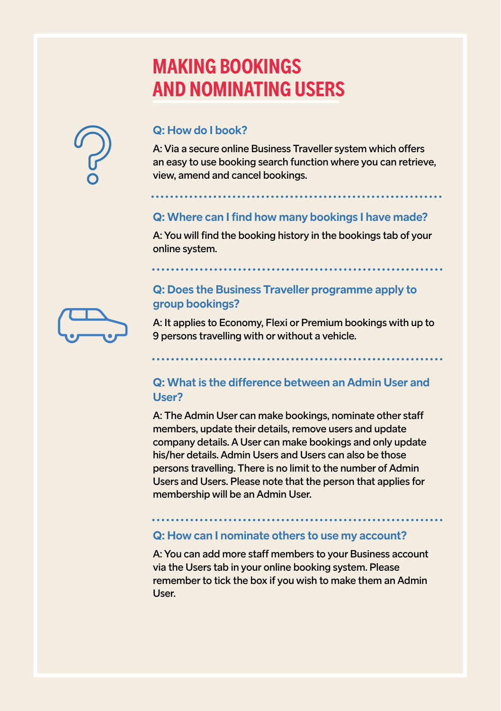# **MAKING BOOKINGS AND NOMINATING USERS**



#### **Q: How do I book?**

A: Via a secure online Business Traveller system which offers an easy to use booking search function where you can retrieve, view, amend and cancel bookings.

#### **Q: Where can I find how many bookings I have made?**

A: You will find the booking history in the bookings tab of your online system.

#### **Q: Does the Business Traveller programme apply to group bookings?**



A: It applies to Economy, Flexi or Premium bookings with up to 9 persons travelling with or without a vehicle.

#### **Q: What is the difference between an Admin User and User?**

A: The Admin User can make bookings, nominate other staff members, update their details, remove users and update company details. A User can make bookings and only update his/her details. Admin Users and Users can also be those persons travelling. There is no limit to the number of Admin Users and Users. Please note that the person that applies for membership will be an Admin User.

#### **Q: How can I nominate others to use my account?**

A: You can add more staff members to your Business account via the Users tab in your online booking system. Please remember to tick the box if you wish to make them an Admin User.